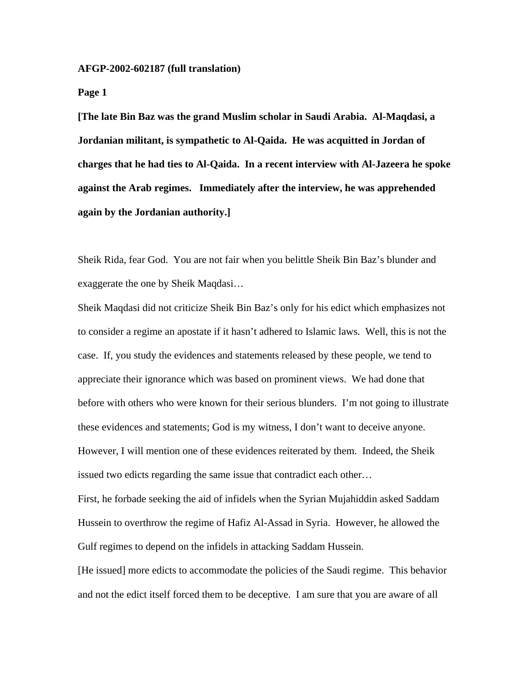**AFGP-2002-602187 (full translation)** 

**Page 1** 

**[The late Bin Baz was the grand Muslim scholar in Saudi Arabia. Al-Maqdasi, a Jordanian militant, is sympathetic to Al-Qaida. He was acquitted in Jordan of charges that he had ties to Al-Qaida. In a recent interview with Al-Jazeera he spoke against the Arab regimes. Immediately after the interview, he was apprehended again by the Jordanian authority.]** 

Sheik Rida, fear God. You are not fair when you belittle Sheik Bin Baz's blunder and exaggerate the one by Sheik Maqdasi…

Sheik Maqdasi did not criticize Sheik Bin Baz's only for his edict which emphasizes not to consider a regime an apostate if it hasn't adhered to Islamic laws. Well, this is not the case. If, you study the evidences and statements released by these people, we tend to appreciate their ignorance which was based on prominent views. We had done that before with others who were known for their serious blunders. I'm not going to illustrate these evidences and statements; God is my witness, I don't want to deceive anyone. However, I will mention one of these evidences reiterated by them. Indeed, the Sheik issued two edicts regarding the same issue that contradict each other…

First, he forbade seeking the aid of infidels when the Syrian Mujahiddin asked Saddam Hussein to overthrow the regime of Hafiz Al-Assad in Syria. However, he allowed the Gulf regimes to depend on the infidels in attacking Saddam Hussein.

[He issued] more edicts to accommodate the policies of the Saudi regime. This behavior and not the edict itself forced them to be deceptive. I am sure that you are aware of all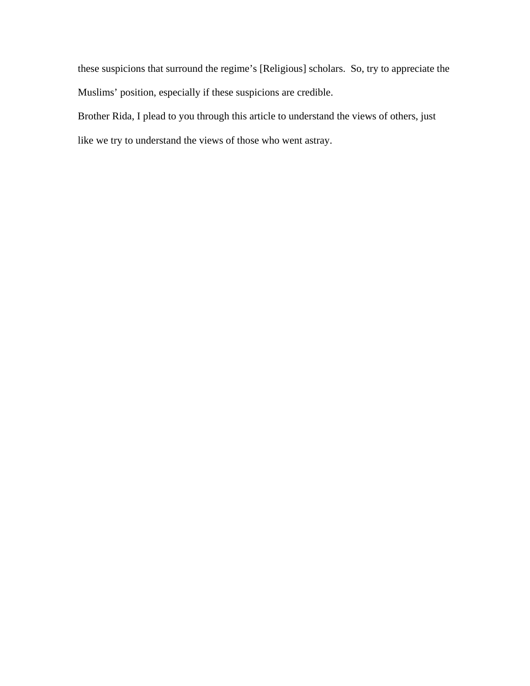these suspicions that surround the regime's [Religious] scholars. So, try to appreciate the Muslims' position, especially if these suspicions are credible.

Brother Rida, I plead to you through this article to understand the views of others, just like we try to understand the views of those who went astray.